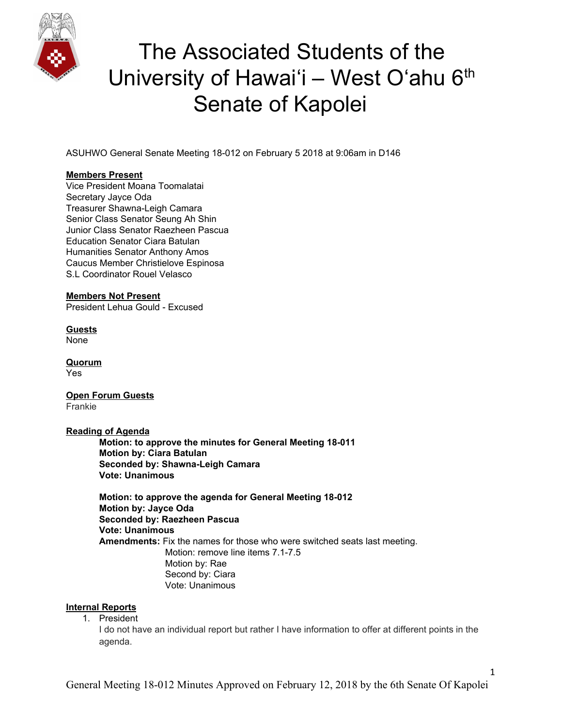

ASUHWO General Senate Meeting 18-012 on February 5 2018 at 9:06am in D146

#### **Members Present**

Vice President Moana Toomalatai Secretary Jayce Oda Treasurer Shawna-Leigh Camara Senior Class Senator Seung Ah Shin Junior Class Senator Raezheen Pascua Education Senator Ciara Batulan Humanities Senator Anthony Amos Caucus Member Christielove Espinosa S.L Coordinator Rouel Velasco

#### **Members Not Present**

President Lehua Gould - Excused

**Guests** None

**Quorum** Yes

**Open Forum Guests** Frankie

**Reading of Agenda**

**Motion: to approve the minutes for General Meeting 18-011 Motion by: Ciara Batulan Seconded by: Shawna-Leigh Camara Vote: Unanimous**

**Motion: to approve the agenda for General Meeting 18-012 Motion by: Jayce Oda Seconded by: Raezheen Pascua Vote: Unanimous Amendments:** Fix the names for those who were switched seats last meeting. Motion: remove line items 7.1-7.5 Motion by: Rae Second by: Ciara Vote: Unanimous

#### **Internal Reports**

1. President

I do not have an individual report but rather I have information to offer at different points in the agenda.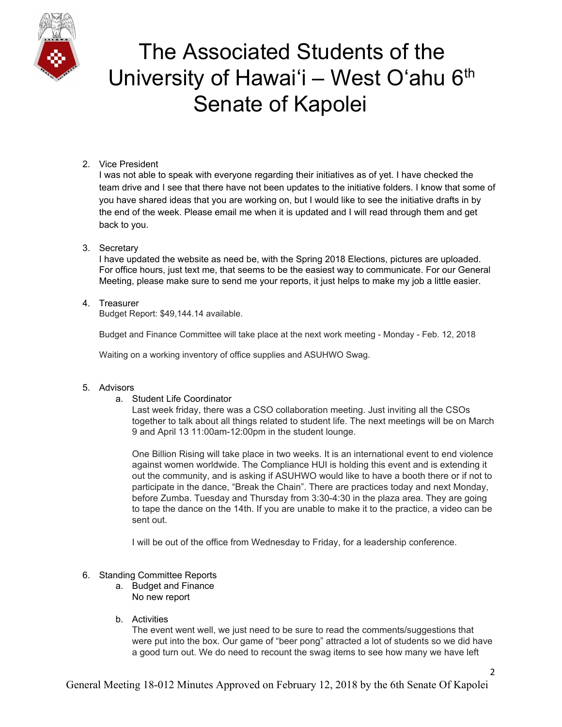

### 2. Vice President

I was not able to speak with everyone regarding their initiatives as of yet. I have checked the team drive and I see that there have not been updates to the initiative folders. I know that some of you have shared ideas that you are working on, but I would like to see the initiative drafts in by the end of the week. Please email me when it is updated and I will read through them and get back to you.

### 3. Secretary

I have updated the website as need be, with the Spring 2018 Elections, pictures are uploaded. For office hours, just text me, that seems to be the easiest way to communicate. For our General Meeting, please make sure to send me your reports, it just helps to make my job a little easier.

### 4. Treasurer

Budget Report: \$49,144.14 available.

Budget and Finance Committee will take place at the next work meeting - Monday - Feb. 12, 2018

Waiting on a working inventory of office supplies and ASUHWO Swag.

#### 5. Advisors

#### a. Student Life Coordinator

Last week friday, there was a CSO collaboration meeting. Just inviting all the CSOs together to talk about all things related to student life. The next meetings will be on March 9 and April 13 11:00am-12:00pm in the student lounge.

One Billion Rising will take place in two weeks. It is an international event to end violence against women worldwide. The Compliance HUI is holding this event and is extending it out the community, and is asking if ASUHWO would like to have a booth there or if not to participate in the dance, "Break the Chain". There are practices today and next Monday, before Zumba. Tuesday and Thursday from 3:30-4:30 in the plaza area. They are going to tape the dance on the 14th. If you are unable to make it to the practice, a video can be sent out.

I will be out of the office from Wednesday to Friday, for a leadership conference.

#### 6. Standing Committee Reports

- a. Budget and Finance No new report
- b. Activities

The event went well, we just need to be sure to read the comments/suggestions that were put into the box. Our game of "beer pong" attracted a lot of students so we did have a good turn out. We do need to recount the swag items to see how many we have left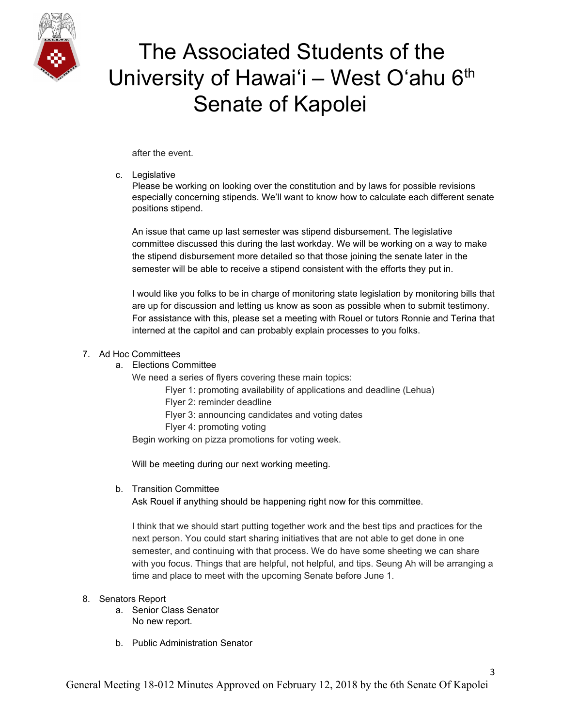

after the event.

#### c. Legislative

Please be working on looking over the constitution and by laws for possible revisions especially concerning stipends. We'll want to know how to calculate each different senate positions stipend.

An issue that came up last semester was stipend disbursement. The legislative committee discussed this during the last workday. We will be working on a way to make the stipend disbursement more detailed so that those joining the senate later in the semester will be able to receive a stipend consistent with the efforts they put in.

I would like you folks to be in charge of monitoring state legislation by monitoring bills that are up for discussion and letting us know as soon as possible when to submit testimony. For assistance with this, please set a meeting with Rouel or tutors Ronnie and Terina that interned at the capitol and can probably explain processes to you folks.

### 7. Ad Hoc Committees

a. Elections Committee

We need a series of flyers covering these main topics:

- Flyer 1: promoting availability of applications and deadline (Lehua)
- Flyer 2: reminder deadline
- Flyer 3: announcing candidates and voting dates
- Flyer 4: promoting voting

Begin working on pizza promotions for voting week.

Will be meeting during our next working meeting.

b. Transition Committee

Ask Rouel if anything should be happening right now for this committee.

I think that we should start putting together work and the best tips and practices for the next person. You could start sharing initiatives that are not able to get done in one semester, and continuing with that process. We do have some sheeting we can share with you focus. Things that are helpful, not helpful, and tips. Seung Ah will be arranging a time and place to meet with the upcoming Senate before June 1.

### 8. Senators Report

- a. Senior Class Senator No new report.
- b. Public Administration Senator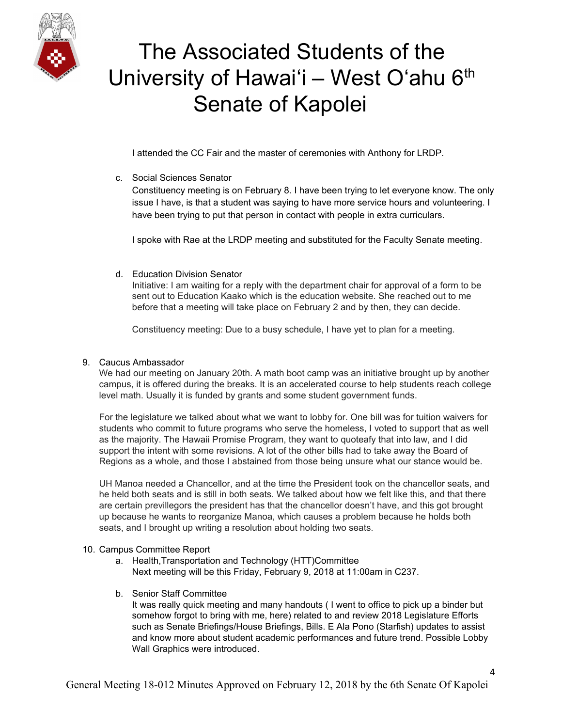

I attended the CC Fair and the master of ceremonies with Anthony for LRDP.

c. Social Sciences Senator

Constituency meeting is on February 8. I have been trying to let everyone know. The only issue I have, is that a student was saying to have more service hours and volunteering. I have been trying to put that person in contact with people in extra curriculars.

I spoke with Rae at the LRDP meeting and substituted for the Faculty Senate meeting.

d. Education Division Senator

Initiative: I am waiting for a reply with the department chair for approval of a form to be sent out to Education Kaako which is the education website. She reached out to me before that a meeting will take place on February 2 and by then, they can decide.

Constituency meeting: Due to a busy schedule, I have yet to plan for a meeting.

### 9. Caucus Ambassador

We had our meeting on January 20th. A math boot camp was an initiative brought up by another campus, it is offered during the breaks. It is an accelerated course to help students reach college level math. Usually it is funded by grants and some student government funds.

For the legislature we talked about what we want to lobby for. One bill was for tuition waivers for students who commit to future programs who serve the homeless, I voted to support that as well as the majority. The Hawaii Promise Program, they want to quoteafy that into law, and I did support the intent with some revisions. A lot of the other bills had to take away the Board of Regions as a whole, and those I abstained from those being unsure what our stance would be.

UH Manoa needed a Chancellor, and at the time the President took on the chancellor seats, and he held both seats and is still in both seats. We talked about how we felt like this, and that there are certain previllegors the president has that the chancellor doesn't have, and this got brought up because he wants to reorganize Manoa, which causes a problem because he holds both seats, and I brought up writing a resolution about holding two seats.

#### 10. Campus Committee Report

- a. Health,Transportation and Technology (HTT)Committee Next meeting will be this Friday, February 9, 2018 at 11:00am in C237.
- b. Senior Staff Committee

It was really quick meeting and many handouts ( I went to office to pick up a binder but somehow forgot to bring with me, here) related to and review 2018 Legislature Efforts such as Senate Briefings/House Briefings, Bills. E Ala Pono (Starfish) updates to assist and know more about student academic performances and future trend. Possible Lobby Wall Graphics were introduced.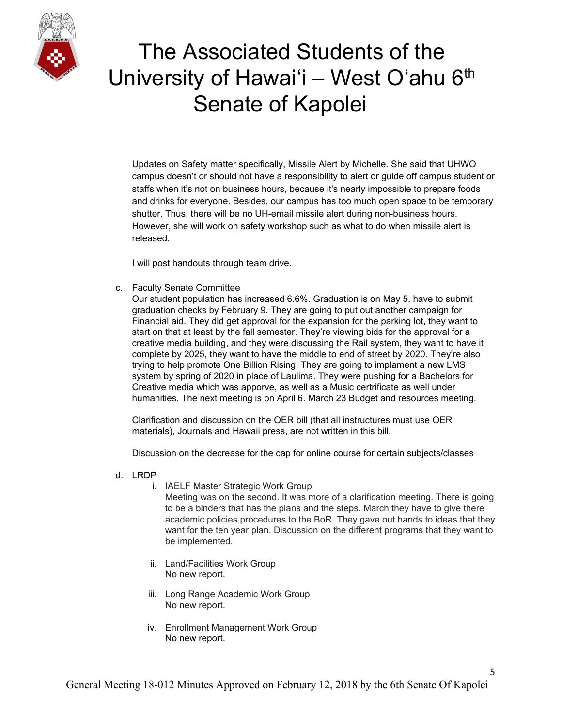

Updates on Safety matter specifically, Missile Alert by Michelle. She said that UHWO campus doesn't or should not have a responsibility to alert or guide off campus student or staffs when it's not on business hours, because it's nearly impossible to prepare foods and drinks for everyone. Besides, our campus has too much open space to be temporary shutter. Thus, there will be no UH-email missile alert during non-business hours. However, she will work on safety workshop such as what to do when missile alert is released.

I will post handouts through team drive.

c. Faculty Senate Committee

Our student population has increased 6.6%. Graduation is on May 5, have to submit graduation checks by February 9. They are going to put out another campaign for Financial aid. They did get approval for the expansion for the parking lot, they want to start on that at least by the fall semester. They're viewing bids for the approval for a creative media building, and they were discussing the Rail system, they want to have it complete by 2025, they want to have the middle to end of street by 2020. They're also trying to help promote One Billion Rising. They are going to implament a new LMS system by spring of 2020 in place of Laulima. They were pushing for a Bachelors for Creative media which was apporve, as well as a Music certrificate as well under humanities. The next meeting is on April 6. March 23 Budget and resources meeting.

Clarification and discussion on the OER bill (that all instructures must use OER materials), Journals and Hawaii press, are not written in this bill.

Discussion on the decrease for the cap for online course for certain subjects/classes

- d. LRDP
	- i. IAELF Master Strategic Work Group

Meeting was on the second. It was more of a clarification meeting. There is going to be a binders that has the plans and the steps. March they have to give there academic policies procedures to the BoR. They gave out hands to ideas that they want for the ten year plan. Discussion on the different programs that they want to be implemented.

- ii. Land/Facilities Work Group No new report.
- iii. Long Range Academic Work Group No new report.
- iv. Enrollment Management Work Group No new report.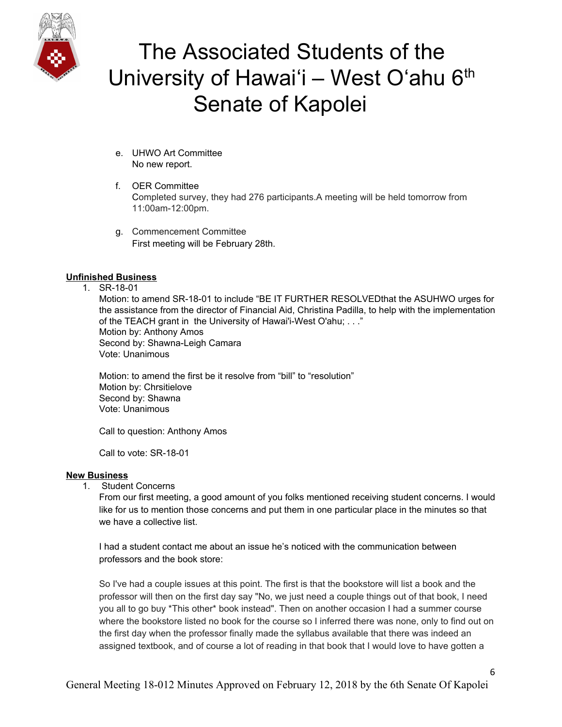

- e. UHWO Art Committee No new report.
- f. OER Committee Completed survey, they had 276 participants.A meeting will be held tomorrow from 11:00am-12:00pm.
- g. Commencement Committee First meeting will be February 28th.

### **Unfinished Business**

1. SR-18-01

Motion: to amend SR-18-01 to include "BE IT FURTHER RESOLVEDthat the ASUHWO urges for the assistance from the director of Financial Aid, Christina Padilla, to help with the implementation of the TEACH grant in the University of Hawai'i-West O'ahu; . . ." Motion by: Anthony Amos Second by: Shawna-Leigh Camara Vote: Unanimous

Motion: to amend the first be it resolve from "bill" to "resolution" Motion by: Chrsitielove Second by: Shawna Vote: Unanimous

Call to question: Anthony Amos

Call to vote: SR-18-01

#### **New Business**

1. Student Concerns

From our first meeting, a good amount of you folks mentioned receiving student concerns. I would like for us to mention those concerns and put them in one particular place in the minutes so that we have a collective list.

I had a student contact me about an issue he's noticed with the communication between professors and the book store:

So I've had a couple issues at this point. The first is that the bookstore will list a book and the professor will then on the first day say "No, we just need a couple things out of that book, I need you all to go buy \*This other\* book instead". Then on another occasion I had a summer course where the bookstore listed no book for the course so I inferred there was none, only to find out on the first day when the professor finally made the syllabus available that there was indeed an assigned textbook, and of course a lot of reading in that book that I would love to have gotten a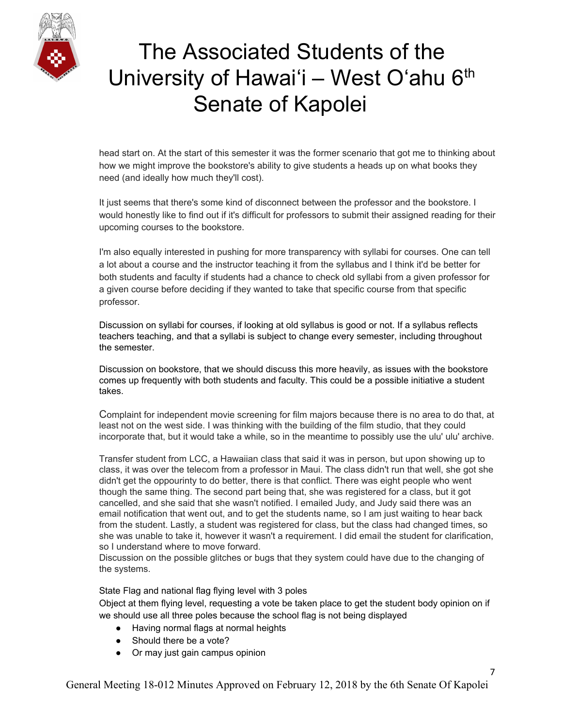

head start on. At the start of this semester it was the former scenario that got me to thinking about how we might improve the bookstore's ability to give students a heads up on what books they need (and ideally how much they'll cost).

It just seems that there's some kind of disconnect between the professor and the bookstore. I would honestly like to find out if it's difficult for professors to submit their assigned reading for their upcoming courses to the bookstore.

I'm also equally interested in pushing for more transparency with syllabi for courses. One can tell a lot about a course and the instructor teaching it from the syllabus and I think it'd be better for both students and faculty if students had a chance to check old syllabi from a given professor for a given course before deciding if they wanted to take that specific course from that specific professor.

Discussion on syllabi for courses, if looking at old syllabus is good or not. If a syllabus reflects teachers teaching, and that a syllabi is subject to change every semester, including throughout the semester.

Discussion on bookstore, that we should discuss this more heavily, as issues with the bookstore comes up frequently with both students and faculty. This could be a possible initiative a student takes.

Complaint for independent movie screening for film majors because there is no area to do that, at least not on the west side. I was thinking with the building of the film studio, that they could incorporate that, but it would take a while, so in the meantime to possibly use the ulu' ulu' archive.

Transfer student from LCC, a Hawaiian class that said it was in person, but upon showing up to class, it was over the telecom from a professor in Maui. The class didn't run that well, she got she didn't get the oppourinty to do better, there is that conflict. There was eight people who went though the same thing. The second part being that, she was registered for a class, but it got cancelled, and she said that she wasn't notified. I emailed Judy, and Judy said there was an email notification that went out, and to get the students name, so I am just waiting to hear back from the student. Lastly, a student was registered for class, but the class had changed times, so she was unable to take it, however it wasn't a requirement. I did email the student for clarification, so I understand where to move forward.

Discussion on the possible glitches or bugs that they system could have due to the changing of the systems.

State Flag and national flag flying level with 3 poles

Object at them flying level, requesting a vote be taken place to get the student body opinion on if we should use all three poles because the school flag is not being displayed

- Having normal flags at normal heights
- Should there be a vote?
- Or may just gain campus opinion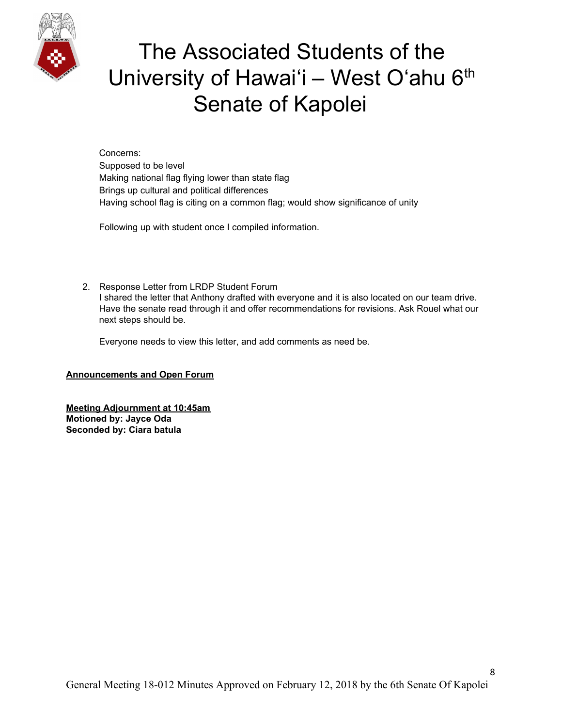

Concerns: Supposed to be level Making national flag flying lower than state flag Brings up cultural and political differences Having school flag is citing on a common flag; would show significance of unity

Following up with student once I compiled information.

2. Response Letter from LRDP Student Forum I shared the letter that Anthony drafted with everyone and it is also located on our team drive. Have the senate read through it and offer recommendations for revisions. Ask Rouel what our next steps should be.

Everyone needs to view this letter, and add comments as need be.

#### **Announcements and Open Forum**

**Meeting Adjournment at 10:45am Motioned by: Jayce Oda Seconded by: Ciara batula**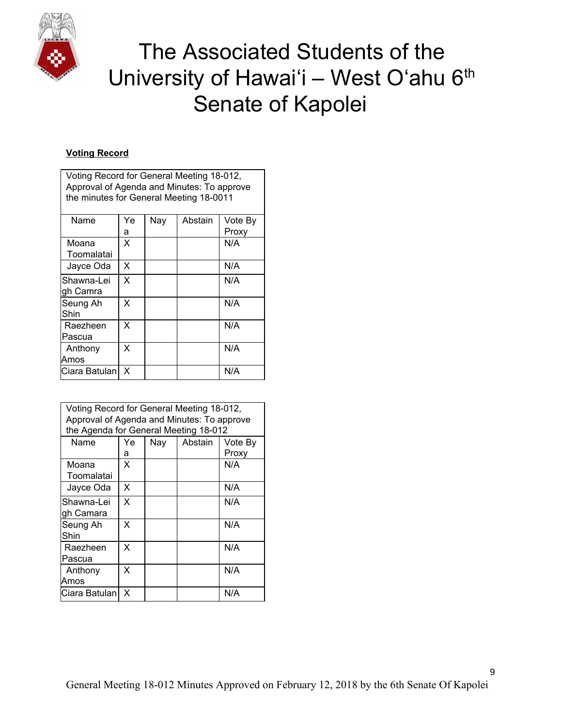

 $\mathsf{r}$ 

# The Associated Students of the University of Hawai'i - West O'ahu 6th Senate of Kapolei

### **Voting Record**

| Voting Record for General Meeting 18-012,  |     |     |         |         |  |  |  |
|--------------------------------------------|-----|-----|---------|---------|--|--|--|
| Approval of Agenda and Minutes: To approve |     |     |         |         |  |  |  |
| the minutes for General Meeting 18-0011    |     |     |         |         |  |  |  |
|                                            |     |     |         |         |  |  |  |
| Name                                       | Ye. | Nay | Abstain | Vote By |  |  |  |
|                                            | a   |     |         | Proxy   |  |  |  |
| Moana                                      | X   |     |         | N/A     |  |  |  |
| Toomalatai                                 |     |     |         |         |  |  |  |
| Jayce Oda                                  | X   |     |         | N/A     |  |  |  |
| Shawna-Lei                                 | X   |     |         | N/A     |  |  |  |
| gh Camra                                   |     |     |         |         |  |  |  |
| Seung Ah                                   | X   |     |         | N/A     |  |  |  |
| Shin                                       |     |     |         |         |  |  |  |
| Raezheen                                   | X   |     |         | N/A     |  |  |  |
| Pascua                                     |     |     |         |         |  |  |  |
| Anthony                                    | x   |     |         | N/A     |  |  |  |
| Amos                                       |     |     |         |         |  |  |  |
| Ciara Batulan                              | X   |     |         | N/A     |  |  |  |
|                                            |     |     |         |         |  |  |  |

| Voting Record for General Meeting 18-012,<br>Approval of Agenda and Minutes: To approve<br>the Agenda for General Meeting 18-012 |    |     |         |         |  |  |  |
|----------------------------------------------------------------------------------------------------------------------------------|----|-----|---------|---------|--|--|--|
| Name                                                                                                                             | Ye | Nay | Abstain | Vote By |  |  |  |
|                                                                                                                                  | a  |     |         | Proxy   |  |  |  |
| Moana<br>Toomalatai                                                                                                              | X  |     |         | N/A     |  |  |  |
| Jayce Oda                                                                                                                        | X  |     |         | N/A     |  |  |  |
| Shawna-Lei<br>gh Camara                                                                                                          | X  |     |         | N/A     |  |  |  |
| Seung Ah<br>Shin                                                                                                                 | X  |     |         | N/A     |  |  |  |
| Raezheen<br>Pascua                                                                                                               | X  |     |         | N/A     |  |  |  |
| Anthony<br>Amos                                                                                                                  | X  |     |         | N/A     |  |  |  |
| Ciara Batulan                                                                                                                    | X  |     |         | N/A     |  |  |  |